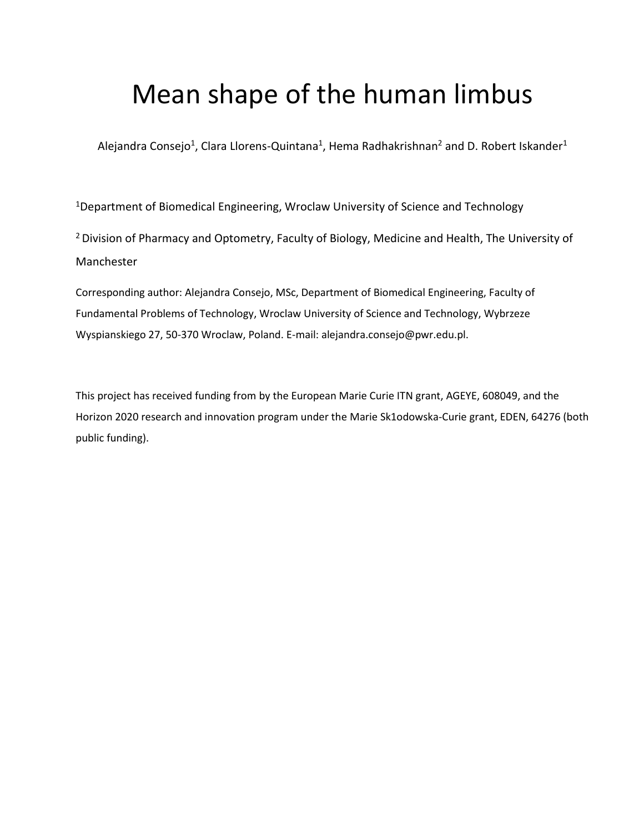# Mean shape of the human limbus

Alejandra Consejo<sup>1</sup>, Clara Llorens-Quintana<sup>1</sup>, Hema Radhakrishnan<sup>2</sup> and D. Robert Iskander<sup>1</sup>

<sup>1</sup>Department of Biomedical Engineering, Wroclaw University of Science and Technology

<sup>2</sup> Division of Pharmacy and Optometry, Faculty of Biology, Medicine and Health, The University of Manchester

Corresponding author: Alejandra Consejo, MSc, Department of Biomedical Engineering, Faculty of Fundamental Problems of Technology, Wroclaw University of Science and Technology, Wybrzeze Wyspianskiego 27, 50-370 Wroclaw, Poland. E-mail: alejandra.consejo@pwr.edu.pl.

This project has received funding from by the European Marie Curie ITN grant, AGEYE, 608049, and the Horizon 2020 research and innovation program under the Marie Sk1odowska-Curie grant, EDEN, 64276 (both public funding).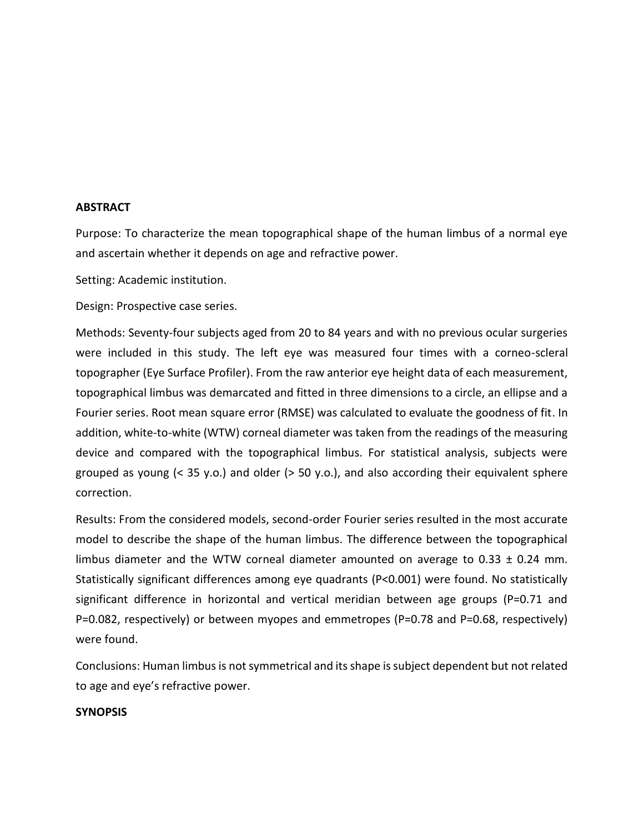## **ABSTRACT**

Purpose: To characterize the mean topographical shape of the human limbus of a normal eye and ascertain whether it depends on age and refractive power.

Setting: Academic institution.

Design: Prospective case series.

Methods: Seventy-four subjects aged from 20 to 84 years and with no previous ocular surgeries were included in this study. The left eye was measured four times with a corneo-scleral topographer (Eye Surface Profiler). From the raw anterior eye height data of each measurement, topographical limbus was demarcated and fitted in three dimensions to a circle, an ellipse and a Fourier series. Root mean square error (RMSE) was calculated to evaluate the goodness of fit. In addition, white-to-white (WTW) corneal diameter was taken from the readings of the measuring device and compared with the topographical limbus. For statistical analysis, subjects were grouped as young  $\leq$  35 y.o.) and older  $\geq$  50 y.o.), and also according their equivalent sphere correction.

Results: From the considered models, second-order Fourier series resulted in the most accurate model to describe the shape of the human limbus. The difference between the topographical limbus diameter and the WTW corneal diameter amounted on average to  $0.33 \pm 0.24$  mm. Statistically significant differences among eye quadrants (P<0.001) were found. No statistically significant difference in horizontal and vertical meridian between age groups (P=0.71 and P=0.082, respectively) or between myopes and emmetropes (P=0.78 and P=0.68, respectively) were found.

Conclusions: Human limbus is not symmetrical and its shape is subject dependent but not related to age and eye's refractive power.

## **SYNOPSIS**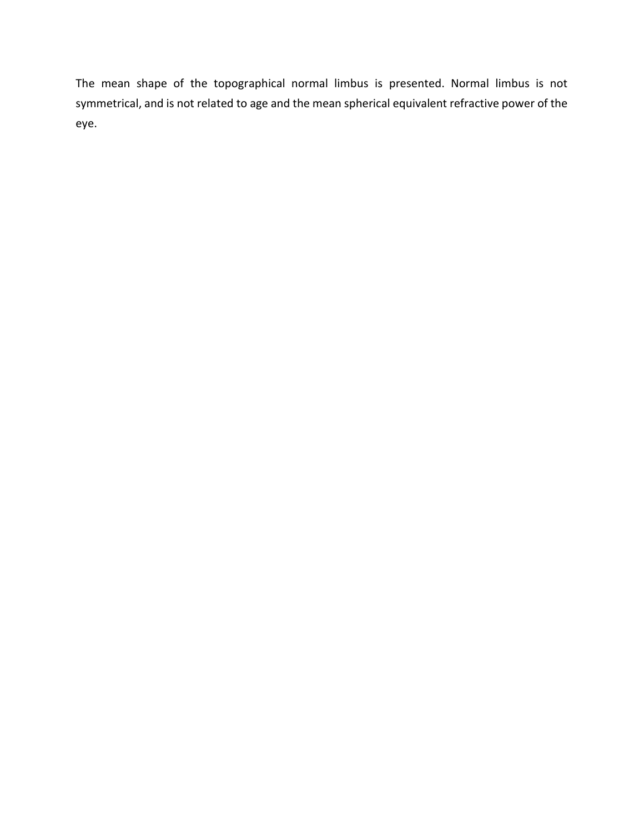The mean shape of the topographical normal limbus is presented. Normal limbus is not symmetrical, and is not related to age and the mean spherical equivalent refractive power of the eye.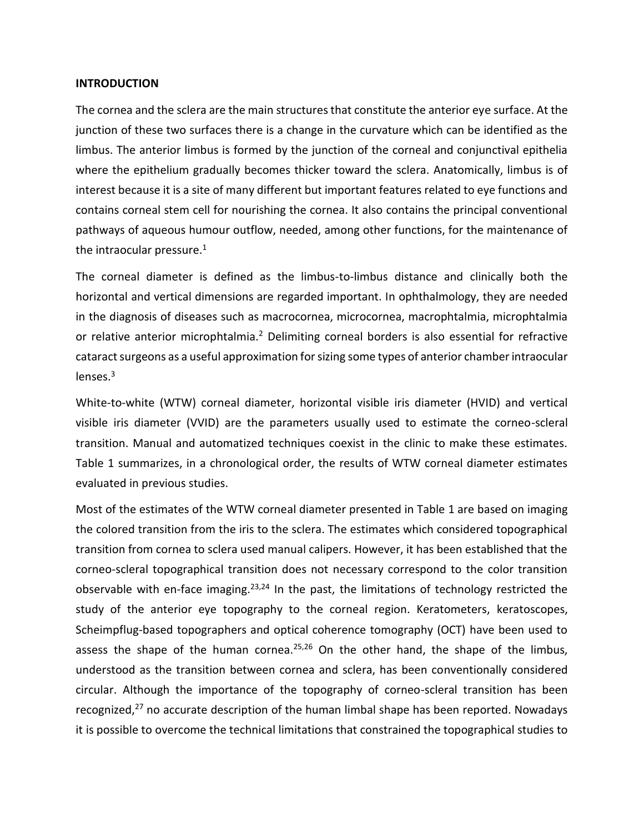### **INTRODUCTION**

The cornea and the sclera are the main structures that constitute the anterior eye surface. At the junction of these two surfaces there is a change in the curvature which can be identified as the limbus. The anterior limbus is formed by the junction of the corneal and conjunctival epithelia where the epithelium gradually becomes thicker toward the sclera. Anatomically, limbus is of interest because it is a site of many different but important features related to eye functions and contains corneal stem cell for nourishing the cornea. It also contains the principal conventional pathways of aqueous humour outflow, needed, among other functions, for the maintenance of the intraocular pressure. $1$ 

The corneal diameter is defined as the limbus-to-limbus distance and clinically both the horizontal and vertical dimensions are regarded important. In ophthalmology, they are needed in the diagnosis of diseases such as macrocornea, microcornea, macrophtalmia, microphtalmia or relative anterior microphtalmia.<sup>2</sup> Delimiting corneal borders is also essential for refractive cataract surgeons as a useful approximation for sizing some types of anterior chamber intraocular lenses.<sup>3</sup>

White-to-white (WTW) corneal diameter, horizontal visible iris diameter (HVID) and vertical visible iris diameter (VVID) are the parameters usually used to estimate the corneo-scleral transition. Manual and automatized techniques coexist in the clinic to make these estimates. Table 1 summarizes, in a chronological order, the results of WTW corneal diameter estimates evaluated in previous studies.

Most of the estimates of the WTW corneal diameter presented in Table 1 are based on imaging the colored transition from the iris to the sclera. The estimates which considered topographical transition from cornea to sclera used manual calipers. However, it has been established that the corneo-scleral topographical transition does not necessary correspond to the color transition observable with en-face imaging.<sup>23,24</sup> In the past, the limitations of technology restricted the study of the anterior eye topography to the corneal region. Keratometers, keratoscopes, Scheimpflug-based topographers and optical coherence tomography (OCT) have been used to assess the shape of the human cornea.<sup>25,26</sup> On the other hand, the shape of the limbus, understood as the transition between cornea and sclera, has been conventionally considered circular. Although the importance of the topography of corneo-scleral transition has been recognized, $27$  no accurate description of the human limbal shape has been reported. Nowadays it is possible to overcome the technical limitations that constrained the topographical studies to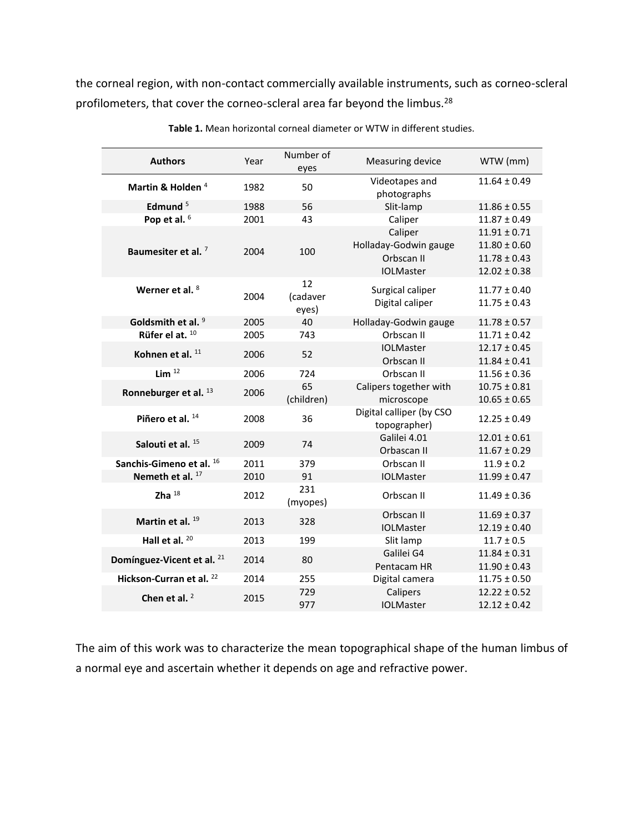the corneal region, with non-contact commercially available instruments, such as corneo-scleral profilometers, that cover the corneo-scleral area far beyond the limbus.<sup>28</sup>

| <b>Authors</b>                        | Year | Number of<br>eyes       | <b>Measuring device</b>                                            | WTW (mm)                                                                     |
|---------------------------------------|------|-------------------------|--------------------------------------------------------------------|------------------------------------------------------------------------------|
| Martin & Holden <sup>4</sup>          | 1982 | 50                      | Videotapes and<br>photographs                                      | $11.64 \pm 0.49$                                                             |
| Edmund $5$                            | 1988 | 56                      | Slit-lamp                                                          | $11.86 \pm 0.55$                                                             |
| Pop et al. 6                          | 2001 | 43                      | Caliper                                                            | $11.87 \pm 0.49$                                                             |
| Baumesiter et al. <sup>7</sup>        | 2004 | 100                     | Caliper<br>Holladay-Godwin gauge<br>Orbscan II<br><b>IOLMaster</b> | $11.91 \pm 0.71$<br>$11.80 \pm 0.60$<br>$11.78 \pm 0.43$<br>$12.02 \pm 0.38$ |
| Werner et al. 8                       | 2004 | 12<br>(cadaver<br>eyes) | Surgical caliper<br>Digital caliper                                | $11.77 \pm 0.40$<br>$11.75 \pm 0.43$                                         |
| Goldsmith et al. 9                    | 2005 | 40                      | Holladay-Godwin gauge                                              | $11.78 \pm 0.57$                                                             |
| Rüfer el at. 10                       | 2005 | 743                     | Orbscan II                                                         | $11.71 \pm 0.42$                                                             |
| Kohnen et al. 11                      | 2006 | 52                      | <b>IOLMaster</b>                                                   | $12.17 \pm 0.45$                                                             |
|                                       |      |                         | Orbscan II                                                         | $11.84 \pm 0.41$                                                             |
| Lim $^{12}$                           | 2006 | 724                     | Orbscan II                                                         | $11.56 \pm 0.36$                                                             |
| Ronneburger et al. 13                 | 2006 | 65<br>(children)        | Calipers together with<br>microscope                               | $10.75 \pm 0.81$<br>$10.65 \pm 0.65$                                         |
| Piñero et al. 14                      | 2008 | 36                      | Digital calliper (by CSO<br>topographer)                           | $12.25 \pm 0.49$                                                             |
| Salouti et al. 15                     | 2009 | 74                      | Galilei 4.01<br>Orbascan II                                        | $12.01 \pm 0.61$<br>$11.67 \pm 0.29$                                         |
| Sanchis-Gimeno et al. 16              | 2011 | 379                     | Orbscan II                                                         | $11.9 \pm 0.2$                                                               |
| Nemeth et al. 17                      | 2010 | 91                      | <b>IOLMaster</b>                                                   | $11.99 \pm 0.47$                                                             |
| Zha $18$                              | 2012 | 231<br>(myopes)         | Orbscan II                                                         | $11.49 \pm 0.36$                                                             |
| Martin et al. <sup>19</sup>           | 2013 | 328                     | Orbscan II<br><b>IOLMaster</b>                                     | $11.69 \pm 0.37$<br>$12.19 \pm 0.40$                                         |
| Hall et al. $20$                      | 2013 | 199                     | Slit lamp                                                          | $11.7 \pm 0.5$                                                               |
| Domínguez-Vicent et al. <sup>21</sup> | 2014 | 80                      | Galilei G4<br>Pentacam HR                                          | $11.84 \pm 0.31$<br>$11.90 \pm 0.43$                                         |
| Hickson-Curran et al. <sup>22</sup>   | 2014 | 255                     | Digital camera                                                     | $11.75 \pm 0.50$                                                             |
| Chen et al. $2$                       | 2015 | 729<br>977              | Calipers<br><b>IOLMaster</b>                                       | $12.22 \pm 0.52$<br>$12.12 \pm 0.42$                                         |

**Table 1.** Mean horizontal corneal diameter or WTW in different studies.

The aim of this work was to characterize the mean topographical shape of the human limbus of a normal eye and ascertain whether it depends on age and refractive power.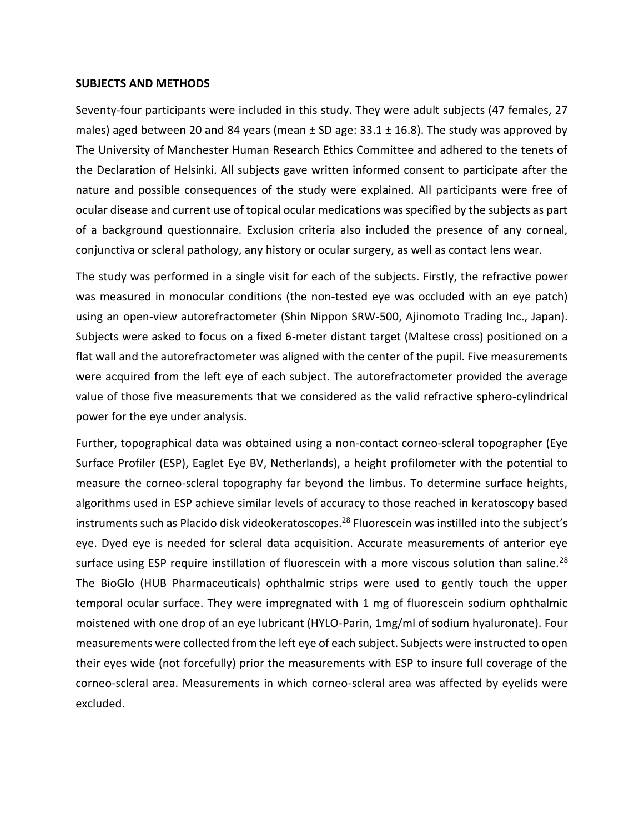#### **SUBJECTS AND METHODS**

Seventy-four participants were included in this study. They were adult subjects (47 females, 27 males) aged between 20 and 84 years (mean  $\pm$  SD age: 33.1  $\pm$  16.8). The study was approved by The University of Manchester Human Research Ethics Committee and adhered to the tenets of the Declaration of Helsinki. All subjects gave written informed consent to participate after the nature and possible consequences of the study were explained. All participants were free of ocular disease and current use of topical ocular medications was specified by the subjects as part of a background questionnaire. Exclusion criteria also included the presence of any corneal, conjunctiva or scleral pathology, any history or ocular surgery, as well as contact lens wear.

The study was performed in a single visit for each of the subjects. Firstly, the refractive power was measured in monocular conditions (the non-tested eye was occluded with an eye patch) using an open-view autorefractometer (Shin Nippon SRW-500, Ajinomoto Trading Inc., Japan). Subjects were asked to focus on a fixed 6-meter distant target (Maltese cross) positioned on a flat wall and the autorefractometer was aligned with the center of the pupil. Five measurements were acquired from the left eye of each subject. The autorefractometer provided the average value of those five measurements that we considered as the valid refractive sphero-cylindrical power for the eye under analysis.

Further, topographical data was obtained using a non-contact corneo-scleral topographer (Eye Surface Profiler (ESP), Eaglet Eye BV, Netherlands), a height profilometer with the potential to measure the corneo-scleral topography far beyond the limbus. To determine surface heights, algorithms used in ESP achieve similar levels of accuracy to those reached in keratoscopy based instruments such as Placido disk videokeratoscopes.<sup>28</sup> Fluorescein was instilled into the subject's eye. Dyed eye is needed for scleral data acquisition. Accurate measurements of anterior eye surface using ESP require instillation of fluorescein with a more viscous solution than saline.<sup>28</sup> The BioGlo (HUB Pharmaceuticals) ophthalmic strips were used to gently touch the upper temporal ocular surface. They were impregnated with 1 mg of fluorescein sodium ophthalmic moistened with one drop of an eye lubricant (HYLO-Parin, 1mg/ml of sodium hyaluronate). Four measurements were collected from the left eye of each subject. Subjects were instructed to open their eyes wide (not forcefully) prior the measurements with ESP to insure full coverage of the corneo-scleral area. Measurements in which corneo-scleral area was affected by eyelids were excluded.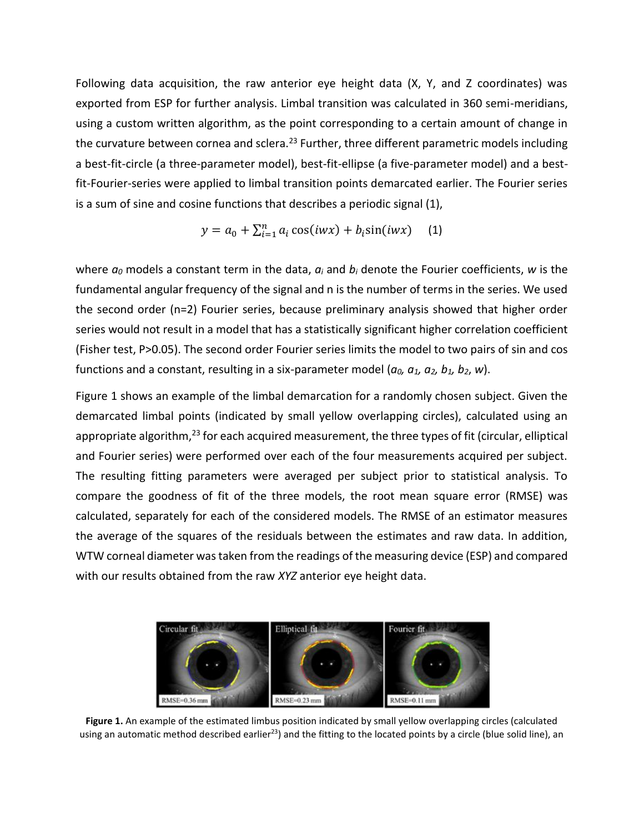Following data acquisition, the raw anterior eye height data (X, Y, and Z coordinates) was exported from ESP for further analysis. Limbal transition was calculated in 360 semi-meridians, using a custom written algorithm, as the point corresponding to a certain amount of change in the curvature between cornea and sclera.<sup>23</sup> Further, three different parametric models including a best-fit-circle (a three-parameter model), best-fit-ellipse (a five-parameter model) and a bestfit-Fourier-series were applied to limbal transition points demarcated earlier. The Fourier series is a sum of sine and cosine functions that describes a periodic signal (1),

$$
y = a_0 + \sum_{i=1}^{n} a_i \cos(iwx) + b_i \sin(iwx)
$$
 (1)

where *a<sup>0</sup>* models a constant term in the data, *a<sup>i</sup>* and *b<sup>i</sup>* denote the Fourier coefficients, *w* is the fundamental angular frequency of the signal and n is the number of terms in the series. We used the second order (n=2) Fourier series, because preliminary analysis showed that higher order series would not result in a model that has a statistically significant higher correlation coefficient (Fisher test, P>0.05). The second order Fourier series limits the model to two pairs of sin and cos functions and a constant, resulting in a six-parameter model ( $a_0$ ,  $a_1$ ,  $a_2$ ,  $b_1$ ,  $b_2$ ,  $w$ ).

Figure 1 shows an example of the limbal demarcation for a randomly chosen subject. Given the demarcated limbal points (indicated by small yellow overlapping circles), calculated using an appropriate algorithm,<sup>23</sup> for each acquired measurement, the three types of fit (circular, elliptical and Fourier series) were performed over each of the four measurements acquired per subject. The resulting fitting parameters were averaged per subject prior to statistical analysis. To compare the goodness of fit of the three models, the root mean square error (RMSE) was calculated, separately for each of the considered models. The RMSE of an estimator measures the average of the squares of the residuals between the estimates and raw data. In addition, WTW corneal diameter was taken from the readings of the measuring device (ESP) and compared with our results obtained from the raw *XYZ* anterior eye height data.



**Figure 1.** An example of the estimated limbus position indicated by small yellow overlapping circles (calculated using an automatic method described earlier<sup>23</sup>) and the fitting to the located points by a circle (blue solid line), an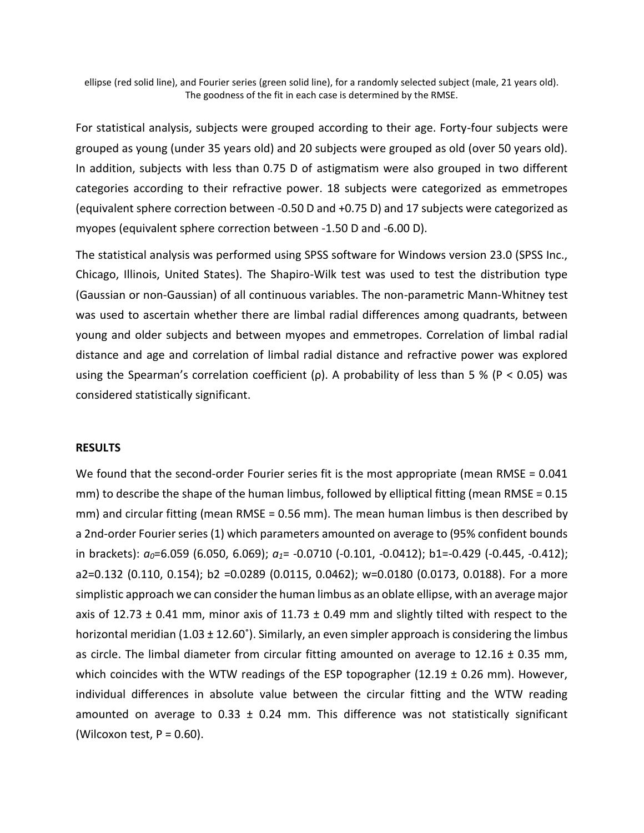ellipse (red solid line), and Fourier series (green solid line), for a randomly selected subject (male, 21 years old). The goodness of the fit in each case is determined by the RMSE.

For statistical analysis, subjects were grouped according to their age. Forty-four subjects were grouped as young (under 35 years old) and 20 subjects were grouped as old (over 50 years old). In addition, subjects with less than 0.75 D of astigmatism were also grouped in two different categories according to their refractive power. 18 subjects were categorized as emmetropes (equivalent sphere correction between -0.50 D and +0.75 D) and 17 subjects were categorized as myopes (equivalent sphere correction between -1.50 D and -6.00 D).

The statistical analysis was performed using SPSS software for Windows version 23.0 (SPSS Inc., Chicago, Illinois, United States). The Shapiro-Wilk test was used to test the distribution type (Gaussian or non-Gaussian) of all continuous variables. The non-parametric Mann-Whitney test was used to ascertain whether there are limbal radial differences among quadrants, between young and older subjects and between myopes and emmetropes. Correlation of limbal radial distance and age and correlation of limbal radial distance and refractive power was explored using the Spearman's correlation coefficient (ρ). A probability of less than 5 % (P < 0.05) was considered statistically significant.

#### **RESULTS**

We found that the second-order Fourier series fit is the most appropriate (mean RMSE = 0.041 mm) to describe the shape of the human limbus, followed by elliptical fitting (mean RMSE =  $0.15$ ) mm) and circular fitting (mean RMSE = 0.56 mm). The mean human limbus is then described by a 2nd-order Fourier series (1) which parameters amounted on average to (95% confident bounds in brackets): *a0*=6.059 (6.050, 6.069); *a1*= -0.0710 (-0.101, -0.0412); b1=-0.429 (-0.445, -0.412); a2=0.132 (0.110, 0.154); b2 =0.0289 (0.0115, 0.0462); w=0.0180 (0.0173, 0.0188). For a more simplistic approach we can consider the human limbus as an oblate ellipse, with an average major axis of 12.73  $\pm$  0.41 mm, minor axis of 11.73  $\pm$  0.49 mm and slightly tilted with respect to the horizontal meridian  $(1.03 \pm 12.60^{\circ})$ . Similarly, an even simpler approach is considering the limbus as circle. The limbal diameter from circular fitting amounted on average to  $12.16 \pm 0.35$  mm, which coincides with the WTW readings of the ESP topographer  $(12.19 \pm 0.26 \text{ mm})$ . However, individual differences in absolute value between the circular fitting and the WTW reading amounted on average to  $0.33 \pm 0.24$  mm. This difference was not statistically significant (Wilcoxon test,  $P = 0.60$ ).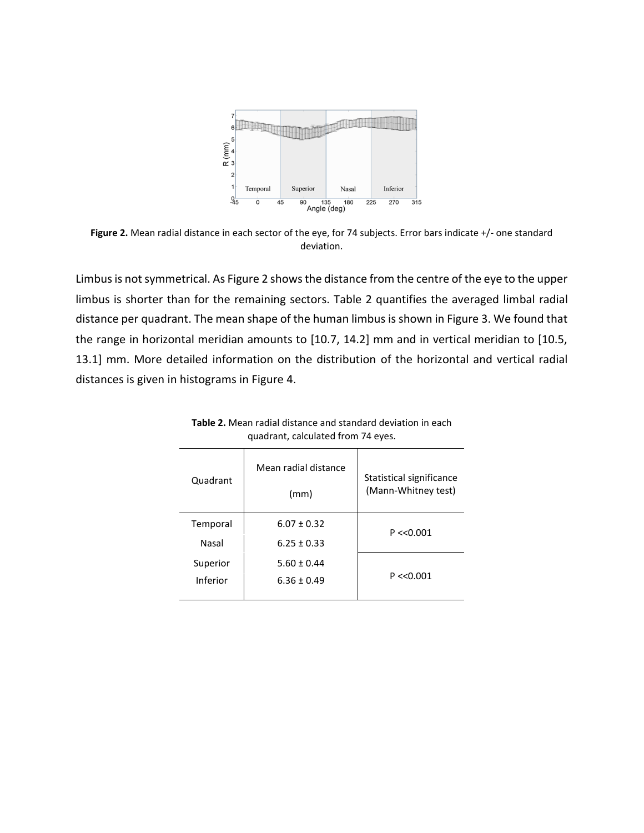

**Figure 2.** Mean radial distance in each sector of the eye, for 74 subjects. Error bars indicate +/- one standard deviation.

Limbus is not symmetrical. As Figure 2 shows the distance from the centre of the eye to the upper limbus is shorter than for the remaining sectors. Table 2 quantifies the averaged limbal radial distance per quadrant. The mean shape of the human limbus is shown in Figure 3. We found that the range in horizontal meridian amounts to [10.7, 14.2] mm and in vertical meridian to [10.5, 13.1] mm. More detailed information on the distribution of the horizontal and vertical radial distances is given in histograms in Figure 4.

| Quadrant | Mean radial distance<br>(mm) | Statistical significance<br>(Mann-Whitney test) |  |  |
|----------|------------------------------|-------------------------------------------------|--|--|
| Temporal | $6.07 \pm 0.32$              | P << 0.001                                      |  |  |
| Nasal    | $6.25 \pm 0.33$              |                                                 |  |  |
| Superior | $5.60 \pm 0.44$              | P << 0.001                                      |  |  |
| Inferior | $6.36 \pm 0.49$              |                                                 |  |  |
|          |                              |                                                 |  |  |

**Table 2.** Mean radial distance and standard deviation in each quadrant, calculated from 74 eyes.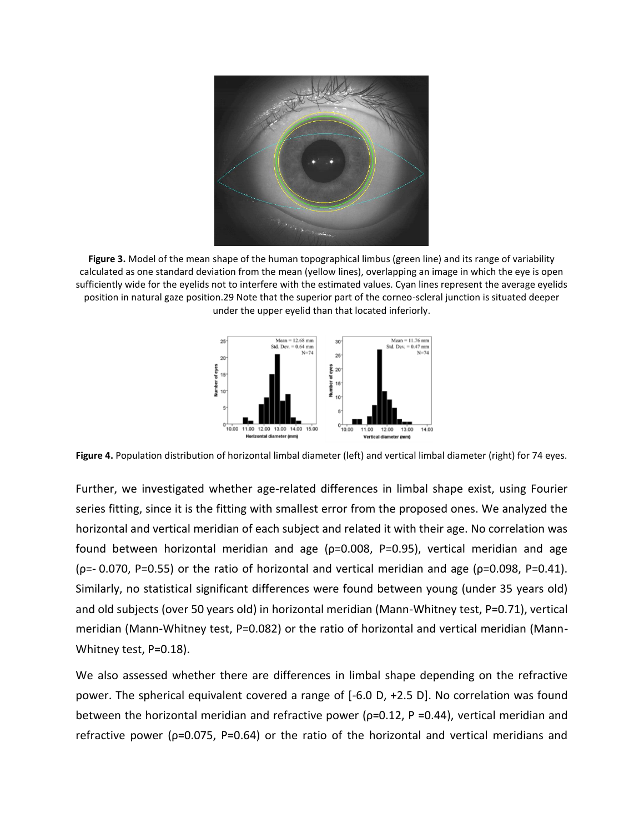

**Figure 3.** Model of the mean shape of the human topographical limbus (green line) and its range of variability calculated as one standard deviation from the mean (yellow lines), overlapping an image in which the eye is open sufficiently wide for the eyelids not to interfere with the estimated values. Cyan lines represent the average eyelids position in natural gaze position.29 Note that the superior part of the corneo-scleral junction is situated deeper under the upper eyelid than that located inferiorly.



**Figure 4.** Population distribution of horizontal limbal diameter (left) and vertical limbal diameter (right) for 74 eyes.

Further, we investigated whether age-related differences in limbal shape exist, using Fourier series fitting, since it is the fitting with smallest error from the proposed ones. We analyzed the horizontal and vertical meridian of each subject and related it with their age. No correlation was found between horizontal meridian and age (ρ=0.008, P=0.95), vertical meridian and age ( $\rho$ =- 0.070, P=0.55) or the ratio of horizontal and vertical meridian and age ( $\rho$ =0.098, P=0.41). Similarly, no statistical significant differences were found between young (under 35 years old) and old subjects (over 50 years old) in horizontal meridian (Mann-Whitney test, P=0.71), vertical meridian (Mann-Whitney test, P=0.082) or the ratio of horizontal and vertical meridian (Mann-Whitney test, P=0.18).

We also assessed whether there are differences in limbal shape depending on the refractive power. The spherical equivalent covered a range of [-6.0 D, +2.5 D]. No correlation was found between the horizontal meridian and refractive power ( $p=0.12$ , P =0.44), vertical meridian and refractive power (ρ=0.075, P=0.64) or the ratio of the horizontal and vertical meridians and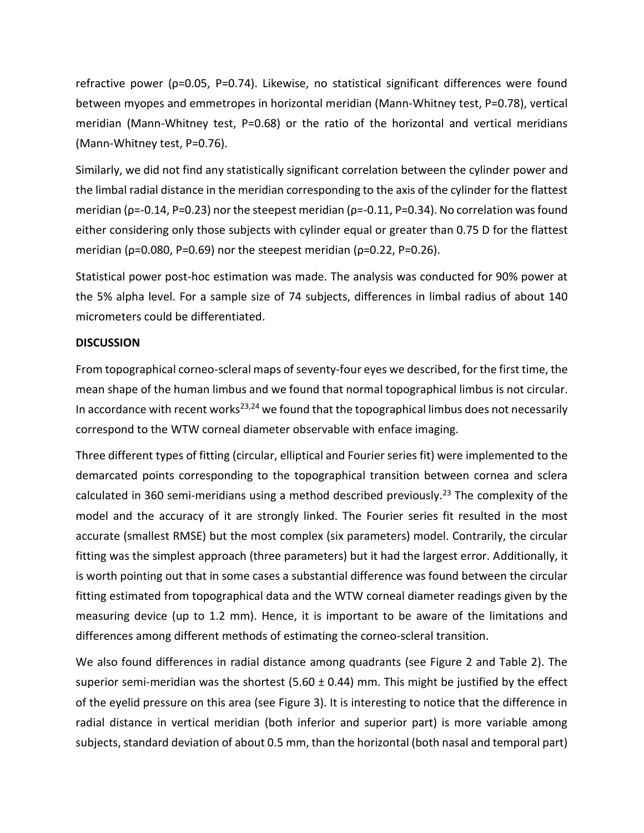refractive power (ρ=0.05, P=0.74). Likewise, no statistical significant differences were found between myopes and emmetropes in horizontal meridian (Mann-Whitney test, P=0.78), vertical meridian (Mann-Whitney test, P=0.68) or the ratio of the horizontal and vertical meridians (Mann-Whitney test, P=0.76).

Similarly, we did not find any statistically significant correlation between the cylinder power and the limbal radial distance in the meridian corresponding to the axis of the cylinder for the flattest meridian ( $p=-0.14$ , P=0.23) nor the steepest meridian ( $p=-0.11$ , P=0.34). No correlation was found either considering only those subjects with cylinder equal or greater than 0.75 D for the flattest meridian ( $\rho$ =0.080, P=0.69) nor the steepest meridian ( $\rho$ =0.22, P=0.26).

Statistical power post-hoc estimation was made. The analysis was conducted for 90% power at the 5% alpha level. For a sample size of 74 subjects, differences in limbal radius of about 140 micrometers could be differentiated.

# **DISCUSSION**

From topographical corneo-scleral maps of seventy-four eyes we described, for the first time, the mean shape of the human limbus and we found that normal topographical limbus is not circular. In accordance with recent works<sup>23,24</sup> we found that the topographical limbus does not necessarily correspond to the WTW corneal diameter observable with enface imaging.

Three different types of fitting (circular, elliptical and Fourier series fit) were implemented to the demarcated points corresponding to the topographical transition between cornea and sclera calculated in 360 semi-meridians using a method described previously.<sup>23</sup> The complexity of the model and the accuracy of it are strongly linked. The Fourier series fit resulted in the most accurate (smallest RMSE) but the most complex (six parameters) model. Contrarily, the circular fitting was the simplest approach (three parameters) but it had the largest error. Additionally, it is worth pointing out that in some cases a substantial difference was found between the circular fitting estimated from topographical data and the WTW corneal diameter readings given by the measuring device (up to 1.2 mm). Hence, it is important to be aware of the limitations and differences among different methods of estimating the corneo-scleral transition.

We also found differences in radial distance among quadrants (see Figure 2 and Table 2). The superior semi-meridian was the shortest (5.60  $\pm$  0.44) mm. This might be justified by the effect of the eyelid pressure on this area (see Figure 3). It is interesting to notice that the difference in radial distance in vertical meridian (both inferior and superior part) is more variable among subjects, standard deviation of about 0.5 mm, than the horizontal (both nasal and temporal part)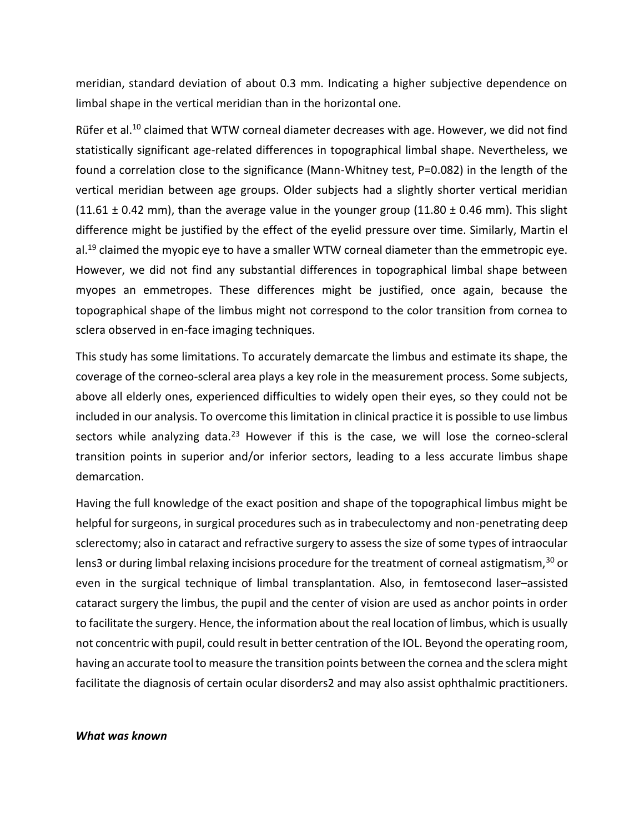meridian, standard deviation of about 0.3 mm. Indicating a higher subjective dependence on limbal shape in the vertical meridian than in the horizontal one.

Rüfer et al.<sup>10</sup> claimed that WTW corneal diameter decreases with age. However, we did not find statistically significant age-related differences in topographical limbal shape. Nevertheless, we found a correlation close to the significance (Mann-Whitney test, P=0.082) in the length of the vertical meridian between age groups. Older subjects had a slightly shorter vertical meridian  $(11.61 \pm 0.42 \text{ mm})$ , than the average value in the younger group  $(11.80 \pm 0.46 \text{ mm})$ . This slight difference might be justified by the effect of the eyelid pressure over time. Similarly, Martin el al.<sup>19</sup> claimed the myopic eye to have a smaller WTW corneal diameter than the emmetropic eye. However, we did not find any substantial differences in topographical limbal shape between myopes an emmetropes. These differences might be justified, once again, because the topographical shape of the limbus might not correspond to the color transition from cornea to sclera observed in en-face imaging techniques.

This study has some limitations. To accurately demarcate the limbus and estimate its shape, the coverage of the corneo-scleral area plays a key role in the measurement process. Some subjects, above all elderly ones, experienced difficulties to widely open their eyes, so they could not be included in our analysis. To overcome this limitation in clinical practice it is possible to use limbus sectors while analyzing data.<sup>23</sup> However if this is the case, we will lose the corneo-scleral transition points in superior and/or inferior sectors, leading to a less accurate limbus shape demarcation.

Having the full knowledge of the exact position and shape of the topographical limbus might be helpful for surgeons, in surgical procedures such as in trabeculectomy and non-penetrating deep sclerectomy; also in cataract and refractive surgery to assess the size of some types of intraocular lens3 or during limbal relaxing incisions procedure for the treatment of corneal astigmatism,<sup>30</sup> or even in the surgical technique of limbal transplantation. Also, in femtosecond laser–assisted cataract surgery the limbus, the pupil and the center of vision are used as anchor points in order to facilitate the surgery. Hence, the information about the real location of limbus, which is usually not concentric with pupil, could result in better centration of the IOL. Beyond the operating room, having an accurate tool to measure the transition points between the cornea and the sclera might facilitate the diagnosis of certain ocular disorders2 and may also assist ophthalmic practitioners.

#### *What was known*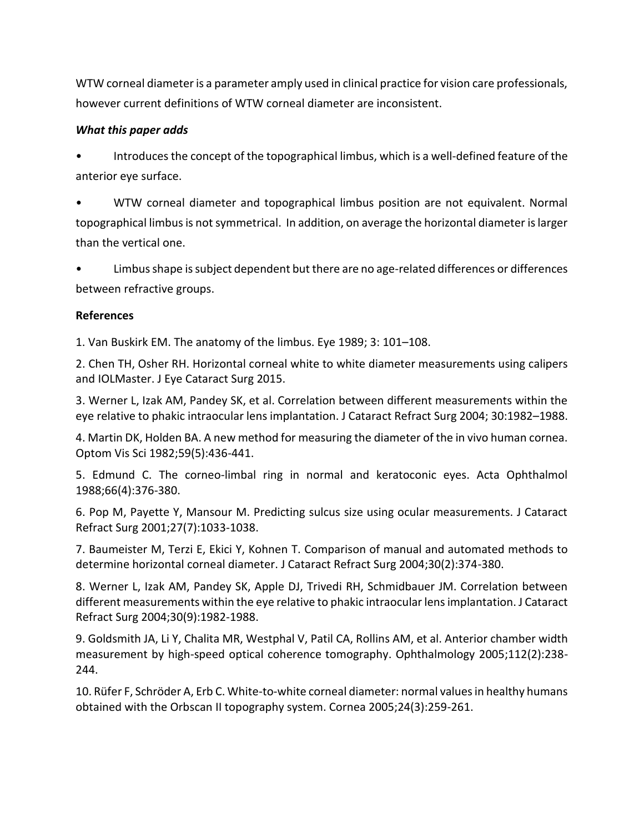WTW corneal diameter is a parameter amply used in clinical practice for vision care professionals, however current definitions of WTW corneal diameter are inconsistent.

# *What this paper adds*

• Introduces the concept of the topographical limbus, which is a well-defined feature of the anterior eye surface.

• WTW corneal diameter and topographical limbus position are not equivalent. Normal topographical limbus is not symmetrical. In addition, on average the horizontal diameter is larger than the vertical one.

• Limbus shape is subject dependent but there are no age-related differences or differences between refractive groups.

# **References**

1. Van Buskirk EM. The anatomy of the limbus. Eye 1989; 3: 101–108.

2. Chen TH, Osher RH. Horizontal corneal white to white diameter measurements using calipers and IOLMaster. J Eye Cataract Surg 2015.

3. Werner L, Izak AM, Pandey SK, et al. Correlation between different measurements within the eye relative to phakic intraocular lens implantation. J Cataract Refract Surg 2004; 30:1982–1988.

4. Martin DK, Holden BA. A new method for measuring the diameter of the in vivo human cornea. Optom Vis Sci 1982;59(5):436-441.

5. Edmund C. The corneo-limbal ring in normal and keratoconic eyes. Acta Ophthalmol 1988;66(4):376-380.

6. Pop M, Payette Y, Mansour M. Predicting sulcus size using ocular measurements. J Cataract Refract Surg 2001;27(7):1033-1038.

7. Baumeister M, Terzi E, Ekici Y, Kohnen T. Comparison of manual and automated methods to determine horizontal corneal diameter. J Cataract Refract Surg 2004;30(2):374-380.

8. Werner L, Izak AM, Pandey SK, Apple DJ, Trivedi RH, Schmidbauer JM. Correlation between different measurements within the eye relative to phakic intraocular lens implantation. J Cataract Refract Surg 2004;30(9):1982-1988.

9. Goldsmith JA, Li Y, Chalita MR, Westphal V, Patil CA, Rollins AM, et al. Anterior chamber width measurement by high-speed optical coherence tomography. Ophthalmology 2005;112(2):238- 244.

10. Rüfer F, Schröder A, Erb C. White-to-white corneal diameter: normal values in healthy humans obtained with the Orbscan II topography system. Cornea 2005;24(3):259-261.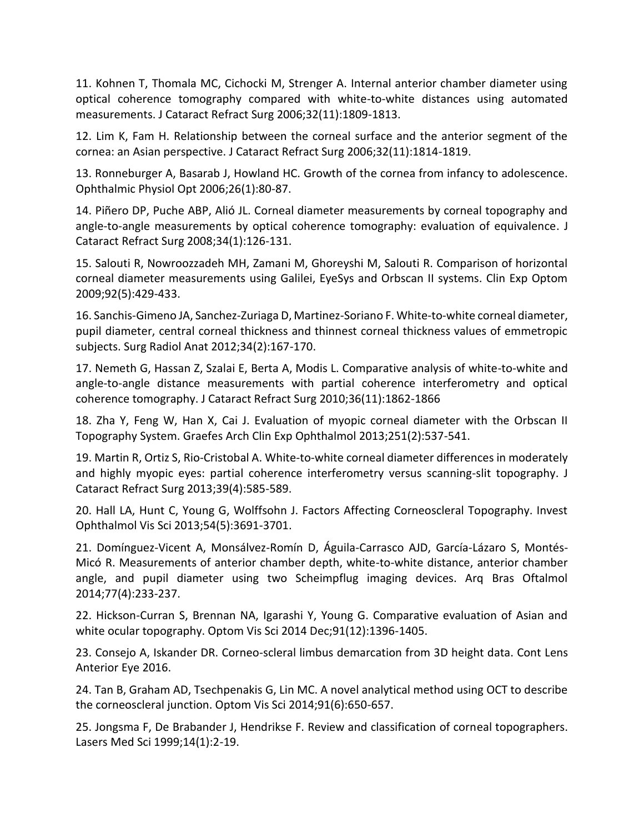11. Kohnen T, Thomala MC, Cichocki M, Strenger A. Internal anterior chamber diameter using optical coherence tomography compared with white-to-white distances using automated measurements. J Cataract Refract Surg 2006;32(11):1809-1813.

12. Lim K, Fam H. Relationship between the corneal surface and the anterior segment of the cornea: an Asian perspective. J Cataract Refract Surg 2006;32(11):1814-1819.

13. Ronneburger A, Basarab J, Howland HC. Growth of the cornea from infancy to adolescence. Ophthalmic Physiol Opt 2006;26(1):80-87.

14. Piñero DP, Puche ABP, Alió JL. Corneal diameter measurements by corneal topography and angle-to-angle measurements by optical coherence tomography: evaluation of equivalence. J Cataract Refract Surg 2008;34(1):126-131.

15. Salouti R, Nowroozzadeh MH, Zamani M, Ghoreyshi M, Salouti R. Comparison of horizontal corneal diameter measurements using Galilei, EyeSys and Orbscan II systems. Clin Exp Optom 2009;92(5):429-433.

16. Sanchis-Gimeno JA, Sanchez-Zuriaga D, Martinez-Soriano F. White-to-white corneal diameter, pupil diameter, central corneal thickness and thinnest corneal thickness values of emmetropic subjects. Surg Radiol Anat 2012;34(2):167-170.

17. Nemeth G, Hassan Z, Szalai E, Berta A, Modis L. Comparative analysis of white-to-white and angle-to-angle distance measurements with partial coherence interferometry and optical coherence tomography. J Cataract Refract Surg 2010;36(11):1862-1866

18. Zha Y, Feng W, Han X, Cai J. Evaluation of myopic corneal diameter with the Orbscan II Topography System. Graefes Arch Clin Exp Ophthalmol 2013;251(2):537-541.

19. Martin R, Ortiz S, Rio-Cristobal A. White-to-white corneal diameter differences in moderately and highly myopic eyes: partial coherence interferometry versus scanning-slit topography. J Cataract Refract Surg 2013;39(4):585-589.

20. Hall LA, Hunt C, Young G, Wolffsohn J. Factors Affecting Corneoscleral Topography. Invest Ophthalmol Vis Sci 2013;54(5):3691-3701.

21. Domínguez-Vicent A, Monsálvez-Romín D, Águila-Carrasco AJD, García-Lázaro S, Montés-Micó R. Measurements of anterior chamber depth, white-to-white distance, anterior chamber angle, and pupil diameter using two Scheimpflug imaging devices. Arq Bras Oftalmol 2014;77(4):233-237.

22. Hickson-Curran S, Brennan NA, Igarashi Y, Young G. Comparative evaluation of Asian and white ocular topography. Optom Vis Sci 2014 Dec;91(12):1396-1405.

23. Consejo A, Iskander DR. Corneo-scleral limbus demarcation from 3D height data. Cont Lens Anterior Eye 2016.

24. Tan B, Graham AD, Tsechpenakis G, Lin MC. A novel analytical method using OCT to describe the corneoscleral junction. Optom Vis Sci 2014;91(6):650-657.

25. Jongsma F, De Brabander J, Hendrikse F. Review and classification of corneal topographers. Lasers Med Sci 1999;14(1):2-19.